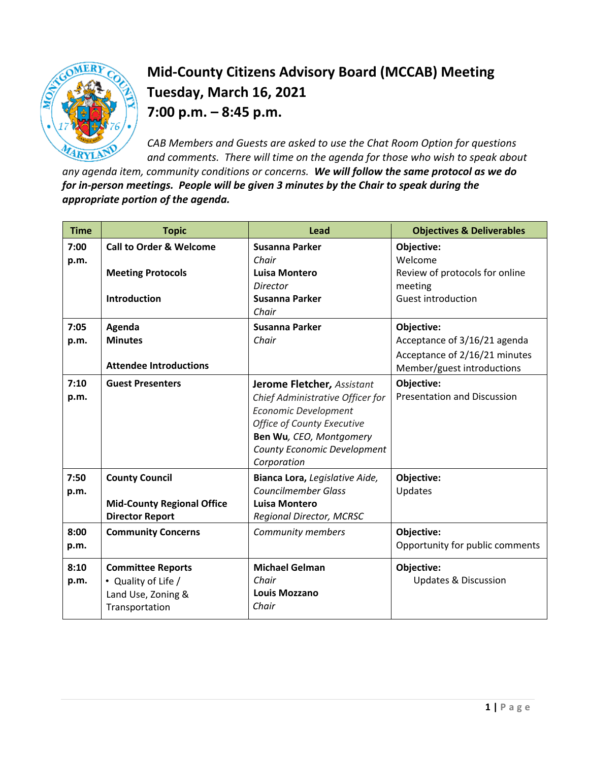

## **Mid-County Citizens Advisory Board (MCCAB) Meeting Tuesday, March 16, 2021 7:00 p.m. – 8:45 p.m.**

*CAB Members and Guests are asked to use the Chat Room Option for questions and comments. There will time on the agenda for those who wish to speak about* 

*any agenda item, community conditions or concerns. We will follow the same protocol as we do for in-person meetings. People will be given 3 minutes by the Chair to speak during the appropriate portion of the agenda.* 

| <b>Time</b>  | <b>Topic</b>                       | Lead                                                            | <b>Objectives &amp; Deliverables</b>                        |
|--------------|------------------------------------|-----------------------------------------------------------------|-------------------------------------------------------------|
| 7:00<br>p.m. | <b>Call to Order &amp; Welcome</b> | Susanna Parker<br>Chair                                         | Objective:<br>Welcome                                       |
|              | <b>Meeting Protocols</b>           | <b>Luisa Montero</b><br>Director                                | Review of protocols for online<br>meeting                   |
|              | <b>Introduction</b>                | Susanna Parker<br>Chair                                         | <b>Guest introduction</b>                                   |
| 7:05         | Agenda                             | Susanna Parker                                                  | Objective:                                                  |
| p.m.         | <b>Minutes</b>                     | Chair                                                           | Acceptance of 3/16/21 agenda                                |
|              | <b>Attendee Introductions</b>      |                                                                 | Acceptance of 2/16/21 minutes<br>Member/guest introductions |
| 7:10         | <b>Guest Presenters</b>            | Jerome Fletcher, Assistant                                      | Objective:<br><b>Presentation and Discussion</b>            |
| p.m.         |                                    | Chief Administrative Officer for<br><b>Economic Development</b> |                                                             |
|              |                                    | Office of County Executive                                      |                                                             |
|              |                                    | Ben Wu, CEO, Montgomery                                         |                                                             |
|              |                                    | County Economic Development<br>Corporation                      |                                                             |
| 7:50         | <b>County Council</b>              | Bianca Lora, Legislative Aide,                                  | Objective:                                                  |
| p.m.         |                                    | <b>Councilmember Glass</b>                                      | Updates                                                     |
|              | <b>Mid-County Regional Office</b>  | Luisa Montero                                                   |                                                             |
|              | <b>Director Report</b>             | Regional Director, MCRSC                                        |                                                             |
| 8:00         | <b>Community Concerns</b>          | Community members                                               | Objective:                                                  |
| p.m.         |                                    |                                                                 | Opportunity for public comments                             |
| 8:10         | <b>Committee Reports</b>           | <b>Michael Gelman</b>                                           | Objective:                                                  |
| p.m.         | • Quality of Life /                | Chair                                                           | <b>Updates &amp; Discussion</b>                             |
|              | Land Use, Zoning &                 | <b>Louis Mozzano</b>                                            |                                                             |
|              | Transportation                     | Chair                                                           |                                                             |